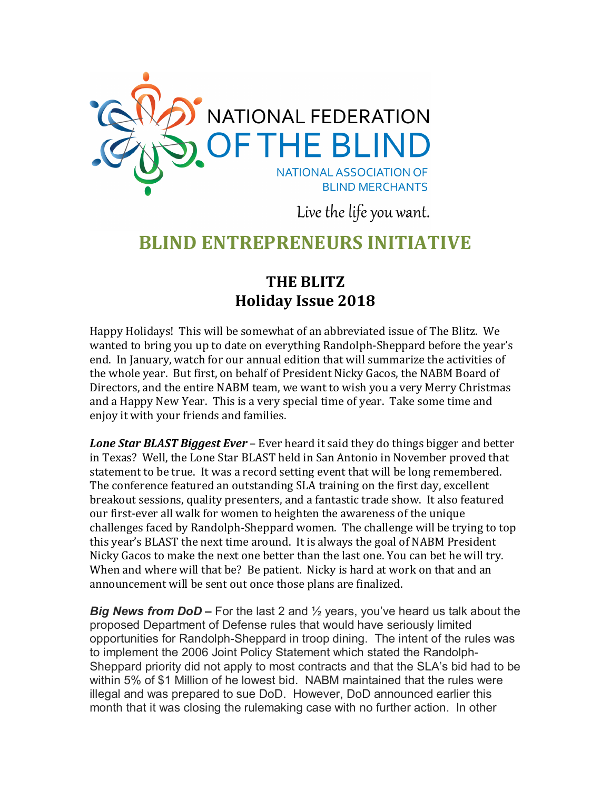

Live the life you want.

## **BLIND ENTREPRENEURS INITIATIVE**

## **THE BLITZ Holiday Issue 2018**

Happy Holidays! This will be somewhat of an abbreviated issue of The Blitz. We wanted to bring you up to date on everything Randolph-Sheppard before the year's end. In January, watch for our annual edition that will summarize the activities of the whole year. But first, on behalf of President Nicky Gacos, the NABM Board of Directors, and the entire NABM team, we want to wish you a very Merry Christmas and a Happy New Year. This is a very special time of year. Take some time and enjoy it with your friends and families.

*Lone Star BLAST Biggest Ever* – Ever heard it said they do things bigger and better in Texas? Well, the Lone Star BLAST held in San Antonio in November proved that statement to be true. It was a record setting event that will be long remembered. The conference featured an outstanding SLA training on the first day, excellent breakout sessions, quality presenters, and a fantastic trade show. It also featured our first-ever all walk for women to heighten the awareness of the unique challenges faced by Randolph-Sheppard women. The challenge will be trying to top this year's BLAST the next time around. It is always the goal of NABM President Nicky Gacos to make the next one better than the last one. You can bet he will try. When and where will that be? Be patient. Nicky is hard at work on that and an announcement will be sent out once those plans are finalized.

*Big News from DoD –* For the last 2 and ½ years, you've heard us talk about the proposed Department of Defense rules that would have seriously limited opportunities for Randolph-Sheppard in troop dining. The intent of the rules was to implement the 2006 Joint Policy Statement which stated the Randolph-Sheppard priority did not apply to most contracts and that the SLA's bid had to be within 5% of \$1 Million of he lowest bid. NABM maintained that the rules were illegal and was prepared to sue DoD. However, DoD announced earlier this month that it was closing the rulemaking case with no further action. In other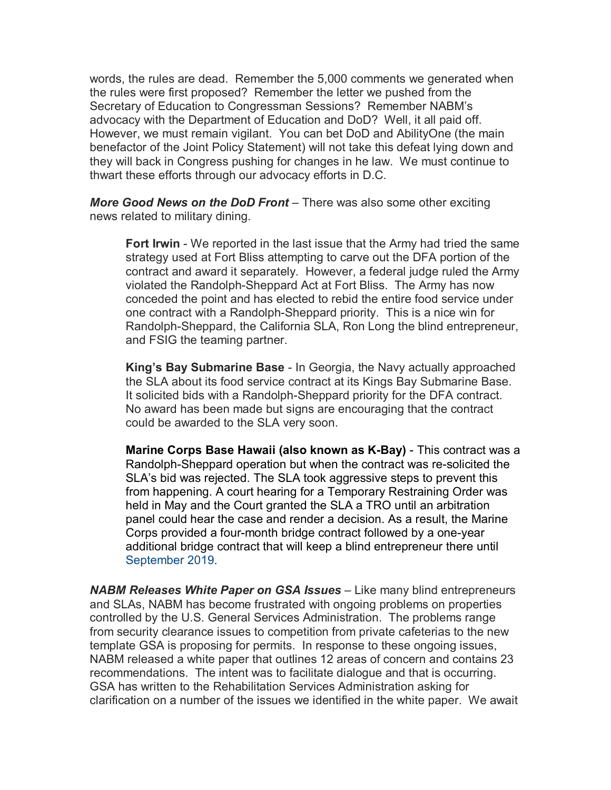words, the rules are dead. Remember the 5,000 comments we generated when the rules were first proposed? Remember the letter we pushed from the Secretary of Education to Congressman Sessions? Remember NABM's advocacy with the Department of Education and DoD? Well, it all paid off. However, we must remain vigilant. You can bet DoD and AbilityOne (the main benefactor of the Joint Policy Statement) will not take this defeat lying down and they will back in Congress pushing for changes in he law. We must continue to thwart these efforts through our advocacy efforts in D.C.

*More Good News on the DoD Front* – There was also some other exciting news related to military dining.

**Fort Irwin** - We reported in the last issue that the Army had tried the same strategy used at Fort Bliss attempting to carve out the DFA portion of the contract and award it separately. However, a federal judge ruled the Army violated the Randolph-Sheppard Act at Fort Bliss. The Army has now conceded the point and has elected to rebid the entire food service under one contract with a Randolph-Sheppard priority. This is a nice win for Randolph-Sheppard, the California SLA, Ron Long the blind entrepreneur, and FSIG the teaming partner.

**King's Bay Submarine Base** - In Georgia, the Navy actually approached the SLA about its food service contract at its Kings Bay Submarine Base. It solicited bids with a Randolph-Sheppard priority for the DFA contract. No award has been made but signs are encouraging that the contract could be awarded to the SLA very soon.

**Marine Corps Base Hawaii (also known as K-Bay)** - This contract was a Randolph-Sheppard operation but when the contract was re-solicited the SLA's bid was rejected. The SLA took aggressive steps to prevent this from happening. A court hearing for a Temporary Restraining Order was held in May and the Court granted the SLA a TRO until an arbitration panel could hear the case and render a decision. As a result, the Marine Corps provided a four-month bridge contract followed by a one-year additional bridge contract that will keep a blind entrepreneur there until September 2019.

*NABM Releases White Paper on GSA Issues* – Like many blind entrepreneurs and SLAs, NABM has become frustrated with ongoing problems on properties controlled by the U.S. General Services Administration. The problems range from security clearance issues to competition from private cafeterias to the new template GSA is proposing for permits. In response to these ongoing issues, NABM released a white paper that outlines 12 areas of concern and contains 23 recommendations. The intent was to facilitate dialogue and that is occurring. GSA has written to the Rehabilitation Services Administration asking for clarification on a number of the issues we identified in the white paper. We await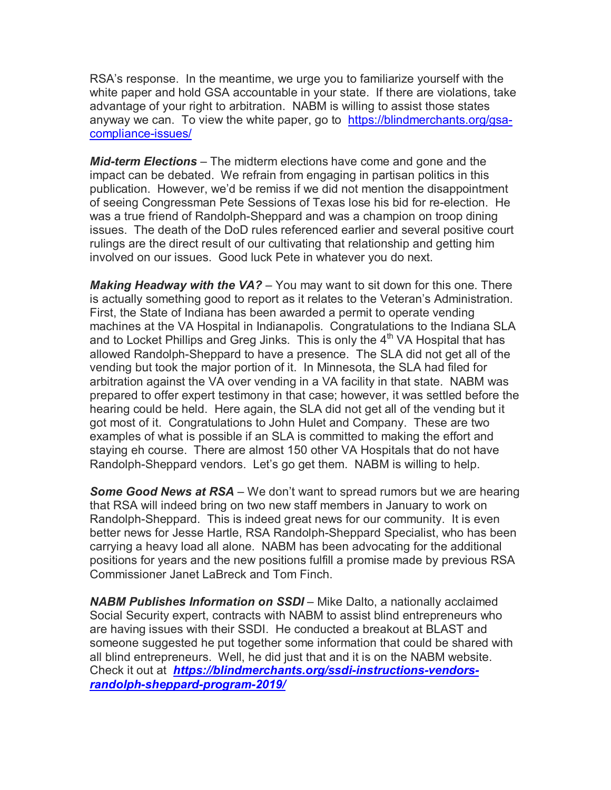RSA's response. In the meantime, we urge you to familiarize yourself with the white paper and hold GSA accountable in your state. If there are violations, take advantage of your right to arbitration. NABM is willing to assist those states anyway we can. To view the white paper, go to [https://blindmerchants.org/gsa](https://blindmerchants.org/gsa-compliance-issues/)[compliance-issues/](https://blindmerchants.org/gsa-compliance-issues/)

*Mid-term Elections* – The midterm elections have come and gone and the impact can be debated. We refrain from engaging in partisan politics in this publication. However, we'd be remiss if we did not mention the disappointment of seeing Congressman Pete Sessions of Texas lose his bid for re-election. He was a true friend of Randolph-Sheppard and was a champion on troop dining issues. The death of the DoD rules referenced earlier and several positive court rulings are the direct result of our cultivating that relationship and getting him involved on our issues. Good luck Pete in whatever you do next.

*Making Headway with the VA?* – You may want to sit down for this one. There is actually something good to report as it relates to the Veteran's Administration. First, the State of Indiana has been awarded a permit to operate vending machines at the VA Hospital in Indianapolis. Congratulations to the Indiana SLA and to Locket Phillips and Greg Jinks. This is only the  $4<sup>th</sup>$  VA Hospital that has allowed Randolph-Sheppard to have a presence. The SLA did not get all of the vending but took the major portion of it. In Minnesota, the SLA had filed for arbitration against the VA over vending in a VA facility in that state. NABM was prepared to offer expert testimony in that case; however, it was settled before the hearing could be held. Here again, the SLA did not get all of the vending but it got most of it. Congratulations to John Hulet and Company. These are two examples of what is possible if an SLA is committed to making the effort and staying eh course. There are almost 150 other VA Hospitals that do not have Randolph-Sheppard vendors. Let's go get them. NABM is willing to help.

*Some Good News at RSA* – We don't want to spread rumors but we are hearing that RSA will indeed bring on two new staff members in January to work on Randolph-Sheppard. This is indeed great news for our community. It is even better news for Jesse Hartle, RSA Randolph-Sheppard Specialist, who has been carrying a heavy load all alone. NABM has been advocating for the additional positions for years and the new positions fulfill a promise made by previous RSA Commissioner Janet LaBreck and Tom Finch.

*NABM Publishes Information on SSDI* – Mike Dalto, a nationally acclaimed Social Security expert, contracts with NABM to assist blind entrepreneurs who are having issues with their SSDI. He conducted a breakout at BLAST and someone suggested he put together some information that could be shared with all blind entrepreneurs. Well, he did just that and it is on the NABM website. Check it out at *[https://blindmerchants.org/ssdi-instructions-vendors](https://blindmerchants.org/ssdi-instructions-vendors-randolph-sheppard-program-2019/)[randolph-sheppard-program-2019/](https://blindmerchants.org/ssdi-instructions-vendors-randolph-sheppard-program-2019/)*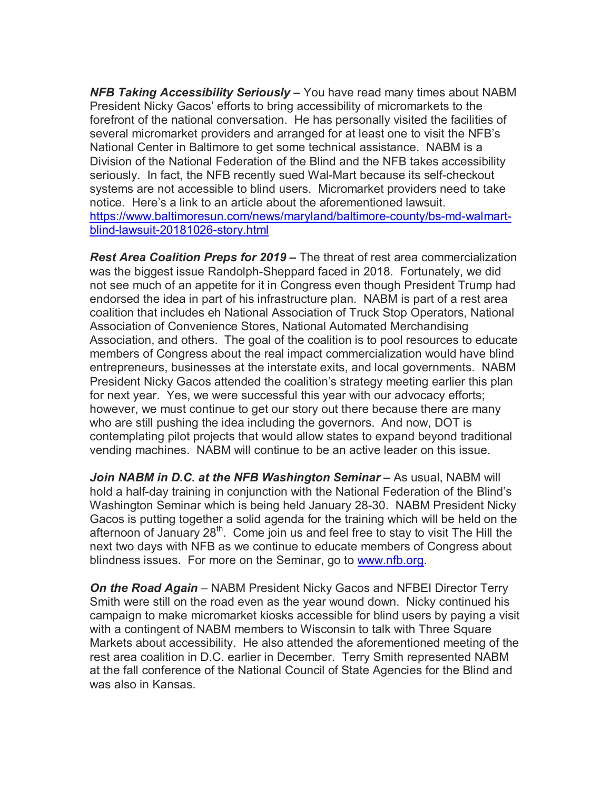*NFB Taking Accessibility Seriously –* You have read many times about NABM President Nicky Gacos' efforts to bring accessibility of micromarkets to the forefront of the national conversation. He has personally visited the facilities of several micromarket providers and arranged for at least one to visit the NFB's National Center in Baltimore to get some technical assistance. NABM is a Division of the National Federation of the Blind and the NFB takes accessibility seriously. In fact, the NFB recently sued Wal-Mart because its self-checkout systems are not accessible to blind users. Micromarket providers need to take notice. Here's a link to an article about the aforementioned lawsuit. [https://www.baltimoresun.com/news/maryland/baltimore-county/bs-md-walmart](https://www.baltimoresun.com/news/maryland/baltimore-county/bs-md-walmart-blind-lawsuit-20181026-story.html)[blind-lawsuit-20181026-story.html](https://www.baltimoresun.com/news/maryland/baltimore-county/bs-md-walmart-blind-lawsuit-20181026-story.html)

*Rest Area Coalition Preps for 2019 –* The threat of rest area commercialization was the biggest issue Randolph-Sheppard faced in 2018. Fortunately, we did not see much of an appetite for it in Congress even though President Trump had endorsed the idea in part of his infrastructure plan. NABM is part of a rest area coalition that includes eh National Association of Truck Stop Operators, National Association of Convenience Stores, National Automated Merchandising Association, and others. The goal of the coalition is to pool resources to educate members of Congress about the real impact commercialization would have blind entrepreneurs, businesses at the interstate exits, and local governments. NABM President Nicky Gacos attended the coalition's strategy meeting earlier this plan for next year. Yes, we were successful this year with our advocacy efforts; however, we must continue to get our story out there because there are many who are still pushing the idea including the governors. And now, DOT is contemplating pilot projects that would allow states to expand beyond traditional vending machines. NABM will continue to be an active leader on this issue.

*Join NABM in D.C. at the NFB Washington Seminar –* As usual, NABM will hold a half-day training in conjunction with the National Federation of the Blind's Washington Seminar which is being held January 28-30. NABM President Nicky Gacos is putting together a solid agenda for the training which will be held on the afternoon of January  $28<sup>th</sup>$ . Come join us and feel free to stay to visit The Hill the next two days with NFB as we continue to educate members of Congress about blindness issues. For more on the Seminar, go to [www.nfb.org.](http://www.nfb.org/)

**On the Road Again** – NABM President Nicky Gacos and NFBEI Director Terry Smith were still on the road even as the year wound down. Nicky continued his campaign to make micromarket kiosks accessible for blind users by paying a visit with a contingent of NABM members to Wisconsin to talk with Three Square Markets about accessibility. He also attended the aforementioned meeting of the rest area coalition in D.C. earlier in December. Terry Smith represented NABM at the fall conference of the National Council of State Agencies for the Blind and was also in Kansas.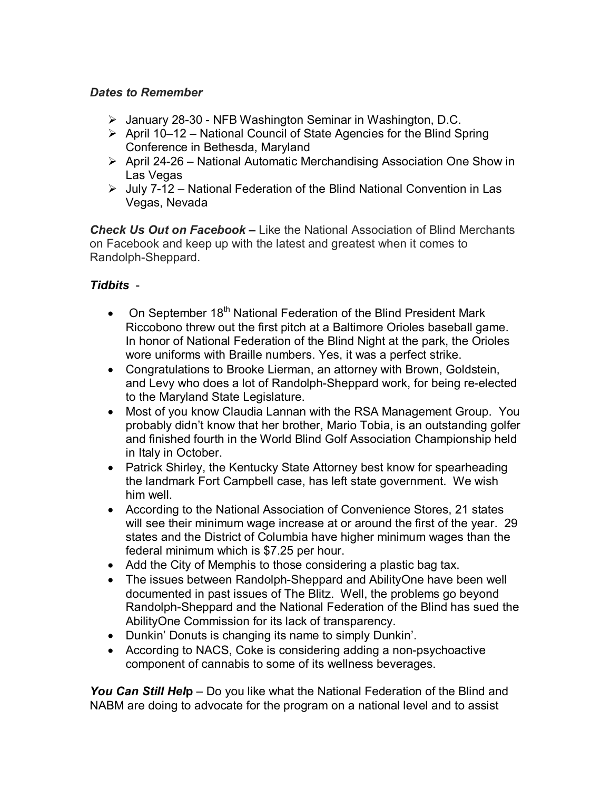#### *Dates to Remember*

- January 28-30 NFB Washington Seminar in Washington, D.C.
- $\triangleright$  April 10–12 National Council of State Agencies for the Blind Spring Conference in Bethesda, Maryland
- April 24-26 National Automatic Merchandising Association One Show in Las Vegas
- $\triangleright$  July 7-12 National Federation of the Blind National Convention in Las Vegas, Nevada

*Check Us Out on Facebook –* Like the National Association of Blind Merchants on Facebook and keep up with the latest and greatest when it comes to Randolph-Sheppard.

#### *Tidbits* -

- On September 18<sup>th</sup> National Federation of the Blind President Mark Riccobono threw out the first pitch at a Baltimore Orioles baseball game. In honor of National Federation of the Blind Night at the park, the Orioles wore uniforms with Braille numbers. Yes, it was a perfect strike.
- Congratulations to Brooke Lierman, an attorney with Brown, Goldstein, and Levy who does a lot of Randolph-Sheppard work, for being re-elected to the Maryland State Legislature.
- Most of you know Claudia Lannan with the RSA Management Group. You probably didn't know that her brother, Mario Tobia, is an outstanding golfer and finished fourth in the World Blind Golf Association Championship held in Italy in October.
- Patrick Shirley, the Kentucky State Attorney best know for spearheading the landmark Fort Campbell case, has left state government. We wish him well.
- According to the National Association of Convenience Stores, 21 states will see their minimum wage increase at or around the first of the year. 29 states and the District of Columbia have higher minimum wages than the federal minimum which is \$7.25 per hour.
- Add the City of Memphis to those considering a plastic bag tax.
- The issues between Randolph-Sheppard and AbilityOne have been well documented in past issues of The Blitz. Well, the problems go beyond Randolph-Sheppard and the National Federation of the Blind has sued the AbilityOne Commission for its lack of transparency.
- Dunkin' Donuts is changing its name to simply Dunkin'.
- According to NACS, Coke is considering adding a non-psychoactive component of cannabis to some of its wellness beverages.

*You Can Still Hel***p** – Do you like what the National Federation of the Blind and NABM are doing to advocate for the program on a national level and to assist